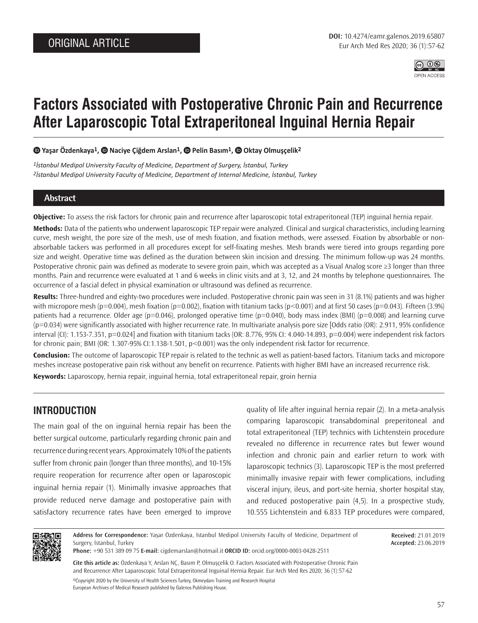

# **Factors Associated with Postoperative Chronic Pain and Recurrence After Laparoscopic Total Extraperitoneal Inguinal Hernia Repair**

#### **Yaşar Özdenkaya1,Naciye Çiğdem Arslan1,Pelin Basım1, Oktay Olmuşçelik2**

*1İstanbul Medipol University Faculty of Medicine, Department of Surgery, İstanbul, Turkey 2İstanbul Medipol University Faculty of Medicine, Department of Internal Medicine, İstanbul, Turkey*

## **Abstract**

**Objective:** To assess the risk factors for chronic pain and recurrence after laparoscopic total extraperitoneal (TEP) inguinal hernia repair.

**Methods:** Data of the patients who underwent laparoscopic TEP repair were analyzed. Clinical and surgical characteristics, including learning curve, mesh weight, the pore size of the mesh, use of mesh fixation, and fixation methods, were assessed. Fixation by absorbable or nonabsorbable tackers was performed in all procedures except for self-fixating meshes. Mesh brands were tiered into groups regarding pore size and weight. Operative time was defined as the duration between skin incision and dressing. The minimum follow-up was 24 months. Postoperative chronic pain was defined as moderate to severe groin pain, which was accepted as a Visual Analog score ≥3 longer than three months. Pain and recurrence were evaluated at 1 and 6 weeks in clinic visits and at 3, 12, and 24 months by telephone questionnaires. The occurrence of a fascial defect in physical examination or ultrasound was defined as recurrence.

**Results:** Three-hundred and eighty-two procedures were included. Postoperative chronic pain was seen in 31 (8.1%) patients and was higher with micropore mesh (p=0.004), mesh fixation (p=0.002), fixation with titanium tacks (p<0.001) and at first 50 cases (p=0.043). Fifteen (3.9%) patients had a recurrence. Older age ( $p=0.046$ ), prolonged operative time ( $p=0.040$ ), body mass index (BMI) ( $p=0.008$ ) and learning curve (p=0.034) were significantly associated with higher recurrence rate. In multivariate analysis pore size [Odds ratio (OR): 2.911, 95% confidence interval (CI): 1.153-7.351, p=0.024] and fixation with titanium tacks (OR: 8.776, 95% CI: 4.040-14.893, p=0.004) were independent risk factors for chronic pain; BMI (OR: 1.307-95% CI:1.138-1.501, p<0.001) was the only independent risk factor for recurrence.

**Conclusion:** The outcome of laparoscopic TEP repair is related to the technic as well as patient-based factors. Titanium tacks and micropore meshes increase postoperative pain risk without any benefit on recurrence. Patients with higher BMI have an increased recurrence risk.

**Keywords:** Laparoscopy, hernia repair, inguinal hernia, total extraperitoneal repair, groin hernia

# **INTRODUCTION**

The main goal of the on inguinal hernia repair has been the better surgical outcome, particularly regarding chronic pain and recurrence during recent years. Approximately 10% of the patients suffer from chronic pain (longer than three months), and 10-15% require reoperation for recurrence after open or laparoscopic inguinal hernia repair (1). Minimally invasive approaches that provide reduced nerve damage and postoperative pain with satisfactory recurrence rates have been emerged to improve quality of life after inguinal hernia repair (2). In a meta-analysis comparing laparoscopic transabdominal preperitoneal and total extraperitoneal (TEP) technics with Lichtenstein procedure revealed no difference in recurrence rates but fewer wound infection and chronic pain and earlier return to work with laparoscopic technics (3). Laparoscopic TEP is the most preferred minimally invasive repair with fewer complications, including visceral injury, ileus, and port-site hernia, shorter hospital stay, and reduced postoperative pain (4,5). In a prospective study, 10.555 Lichtenstein and 6.833 TEP procedures were compared,



**Address for Correspondence:** Yaşar Özdenkaya, İstanbul Medipol University Faculty of Medicine, Department of Surgery, İstanbul, Turkey

**Received:** 21.01.2019 **Accepted:** 23.06.2019

**Phone:** +90 531 389 09 75 **E-mail:** cigdemarslan@hotmail.it **ORCID ID:** orcid.org/0000-0003-0428-2511

**Cite this article as:** Özdenkaya Y, Arslan NÇ, Basım P, Olmuşçelik O. Factors Associated with Postoperative Chronic Pain and Recurrence After Laparoscopic Total Extraperitoneal Inguinal Hernia Repair. Eur Arch Med Res 2020; 36 (1):57-62 ©Copyright 2020 by the University of Health Sciences Turkey, Okmeydanı Training and Research Hospital European Archives of Medical Research published by Galenos Publishing House.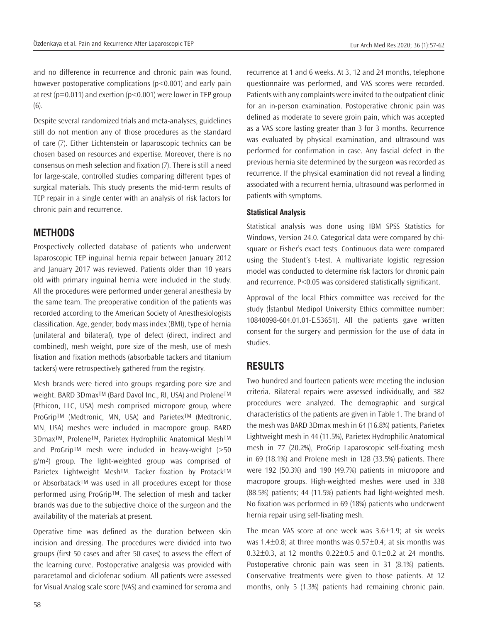and no difference in recurrence and chronic pain was found, however postoperative complications (p<0.001) and early pain at rest ( $p=0.011$ ) and exertion ( $p<0.001$ ) were lower in TEP group (6).

Despite several randomized trials and meta-analyses, guidelines still do not mention any of those procedures as the standard of care (7). Either Lichtenstein or laparoscopic technics can be chosen based on resources and expertise. Moreover, there is no consensus on mesh selection and fixation (7). There is still a need for large-scale, controlled studies comparing different types of surgical materials. This study presents the mid-term results of TEP repair in a single center with an analysis of risk factors for chronic pain and recurrence.

## **METHODS**

Prospectively collected database of patients who underwent laparoscopic TEP inguinal hernia repair between January 2012 and January 2017 was reviewed. Patients older than 18 years old with primary inguinal hernia were included in the study. All the procedures were performed under general anesthesia by the same team. The preoperative condition of the patients was recorded according to the American Society of Anesthesiologists classification. Age, gender, body mass index (BMI), type of hernia (unilateral and bilateral), type of defect (direct, indirect and combined), mesh weight, pore size of the mesh, use of mesh fixation and fixation methods (absorbable tackers and titanium tackers) were retrospectively gathered from the registry.

Mesh brands were tiered into groups regarding pore size and weight. BARD 3Dmax™ (Bard Davol Inc., RI, USA) and Prolene™ (Ethicon, LLC, USA) mesh comprised micropore group, where ProGrip™ (Medtronic, MN, USA) and Parietex<sup>™</sup> (Medtronic, MN, USA) meshes were included in macropore group. BARD 3DmaxTM, ProleneTM, Parietex Hydrophilic Anatomical MeshTM and ProGripTM mesh were included in heavy-weight (>50 g/m2) group. The light-weighted group was comprised of Parietex Lightweight Mesh™. Tacker fixation by Protack™ or AbsorbatackTM was used in all procedures except for those performed using ProGripTM. The selection of mesh and tacker brands was due to the subjective choice of the surgeon and the availability of the materials at present.

Operative time was defined as the duration between skin incision and dressing. The procedures were divided into two groups (first 50 cases and after 50 cases) to assess the effect of the learning curve. Postoperative analgesia was provided with paracetamol and diclofenac sodium. All patients were assessed for Visual Analog scale score (VAS) and examined for seroma and recurrence at 1 and 6 weeks. At 3, 12 and 24 months, telephone questionnaire was performed, and VAS scores were recorded. Patients with any complaints were invited to the outpatient clinic for an in-person examination. Postoperative chronic pain was defined as moderate to severe groin pain, which was accepted as a VAS score lasting greater than 3 for 3 months. Recurrence was evaluated by physical examination, and ultrasound was performed for confirmation in case. Any fascial defect in the previous hernia site determined by the surgeon was recorded as recurrence. If the physical examination did not reveal a finding associated with a recurrent hernia, ultrasound was performed in patients with symptoms.

#### **Statistical Analysis**

Statistical analysis was done using IBM SPSS Statistics for Windows, Version 24.0. Categorical data were compared by chisquare or Fisher's exact tests. Continuous data were compared using the Student's t-test. A multivariate logistic regression model was conducted to determine risk factors for chronic pain and recurrence. P<0.05 was considered statistically significant.

Approval of the local Ethics committee was received for the study (İstanbul Medipol University Ethics committee number: 10840098-604.01.01-E.53651). All the patients gave written consent for the surgery and permission for the use of data in studies.

## **RESULTS**

Two hundred and fourteen patients were meeting the inclusion criteria. Bilateral repairs were assessed individually, and 382 procedures were analyzed. The demographic and surgical characteristics of the patients are given in Table 1. The brand of the mesh was BARD 3Dmax mesh in 64 (16.8%) patients, Parietex Lightweight mesh in 44 (11.5%), Parietex Hydrophilic Anatomical mesh in 77 (20.2%), ProGrip Laparoscopic self-fixating mesh in 69 (18.1%) and Prolene mesh in 128 (33.5%) patients. There were 192 (50.3%) and 190 (49.7%) patients in micropore and macropore groups. High-weighted meshes were used in 338 (88.5%) patients; 44 (11.5%) patients had light-weighted mesh. No fixation was performed in 69 (18%) patients who underwent hernia repair using self-fixating mesh.

The mean VAS score at one week was 3.6±1.9; at six weeks was 1.4 $\pm$ 0.8; at three months was 0.57 $\pm$ 0.4; at six months was 0.32 $\pm$ 0.3, at 12 months 0.22 $\pm$ 0.5 and 0.1 $\pm$ 0.2 at 24 months. Postoperative chronic pain was seen in 31 (8.1%) patients. Conservative treatments were given to those patients. At 12 months, only 5 (1.3%) patients had remaining chronic pain.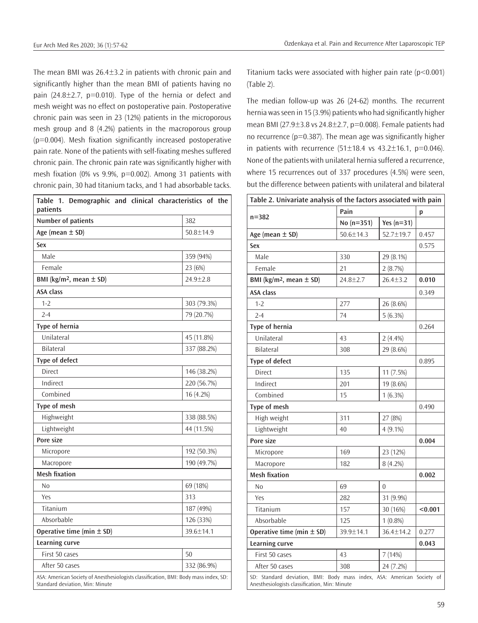The mean BMI was 26.4±3.2 in patients with chronic pain and significantly higher than the mean BMI of patients having no pain  $(24.8 \pm 2.7, p=0.010)$ . Type of the hernia or defect and mesh weight was no effect on postoperative pain. Postoperative chronic pain was seen in 23 (12%) patients in the microporous mesh group and 8 (4.2%) patients in the macroporous group (p=0.004). Mesh fixation significantly increased postoperative pain rate. None of the patients with self-fixating meshes suffered chronic pain. The chronic pain rate was significantly higher with mesh fixation (0% vs 9.9%, p=0.002). Among 31 patients with chronic pain, 30 had titanium tacks, and 1 had absorbable tacks.

| Table 1. Demographic and clinical characteristics of the<br>patients                                                    |                |
|-------------------------------------------------------------------------------------------------------------------------|----------------|
| Number of patients                                                                                                      | 382            |
| Age (mean $\pm$ SD)                                                                                                     | 50.8±14.9      |
| Sex                                                                                                                     |                |
| Male                                                                                                                    | 359 (94%)      |
| Female                                                                                                                  | 23 (6%)        |
| BMI (kg/m <sup>2</sup> , mean $\pm$ SD)                                                                                 | $24.9 \pm 2.8$ |
| <b>ASA class</b>                                                                                                        |                |
| $1 - 2$                                                                                                                 | 303 (79.3%)    |
| $2 - 4$                                                                                                                 | 79 (20.7%)     |
| Type of hernia                                                                                                          |                |
| Unilateral                                                                                                              | 45 (11.8%)     |
| <b>Bilateral</b>                                                                                                        | 337 (88.2%)    |
| Type of defect                                                                                                          |                |
| Direct                                                                                                                  | 146 (38.2%)    |
| Indirect                                                                                                                | 220 (56.7%)    |
| Combined                                                                                                                | 16 (4.2%)      |
| Type of mesh                                                                                                            |                |
| Highweight                                                                                                              | 338 (88.5%)    |
| Lightweight                                                                                                             | 44 (11.5%)     |
| Pore size                                                                                                               |                |
| Micropore                                                                                                               | 192 (50.3%)    |
| Macropore                                                                                                               | 190 (49.7%)    |
| <b>Mesh fixation</b>                                                                                                    |                |
| N <sub>0</sub>                                                                                                          | 69 (18%)       |
| Yes                                                                                                                     | 313            |
| Titanium                                                                                                                | 187 (49%)      |
| Absorbable                                                                                                              | 126 (33%)      |
| Operative time (min $\pm$ SD)                                                                                           | 39.6±14.1      |
| <b>Learning curve</b>                                                                                                   |                |
| First 50 cases                                                                                                          | 50             |
| After 50 cases                                                                                                          | 332 (86.9%)    |
| ASA: American Society of Anesthesiologists classification, BMI: Body mass index, SD:<br>Standard deviation, Min: Minute |                |

Titanium tacks were associated with higher pain rate (p<0.001) (Table 2).

The median follow-up was 26 (24-62) months. The recurrent hernia was seen in 15 (3.9%) patients who had significantly higher mean BMI (27.9 $\pm$ 3.8 vs 24.8 $\pm$ 2.7, p=0.008). Female patients had no recurrence ( $p=0.387$ ). The mean age was significantly higher in patients with recurrence  $(51\pm 18.4 \text{ vs } 43.2\pm 16.1, \text{ p=0.046}).$ None of the patients with unilateral hernia suffered a recurrence, where 15 recurrences out of 337 procedures (4.5%) were seen, but the difference between patients with unilateral and bilateral

| Table 2. Univariate analysis of the factors associated with pain                                                        |                 |                |         |  |
|-------------------------------------------------------------------------------------------------------------------------|-----------------|----------------|---------|--|
| $n = 382$                                                                                                               | Pain            |                | р       |  |
|                                                                                                                         | $No (n=351)$    | Yes $(n=31)$   |         |  |
| Age (mean $\pm$ SD)                                                                                                     | $50.6 \pm 14.3$ | 52.7±19.7      | 0.457   |  |
| <b>Sex</b>                                                                                                              |                 |                | 0.575   |  |
| Male                                                                                                                    | 330             | 29 (8.1%)      |         |  |
| Female                                                                                                                  | 21              | 2(8.7%)        |         |  |
| BMI (kg/m <sup>2</sup> , mean $\pm$ SD)                                                                                 | $24.8 \pm 2.7$  | $26.4 \pm 3.2$ | 0.010   |  |
| <b>ASA class</b>                                                                                                        |                 |                | 0.349   |  |
| $1 - 2$                                                                                                                 | 277             | 26 (8.6%)      |         |  |
| $2 - 4$                                                                                                                 | 74              | $5(6.3\%)$     |         |  |
| Type of hernia                                                                                                          |                 |                | 0.264   |  |
| Unilateral                                                                                                              | 43              | 2(4.4%)        |         |  |
| <b>Bilateral</b>                                                                                                        | 308             | 29 (8.6%)      |         |  |
| Type of defect                                                                                                          |                 |                | 0.895   |  |
| Direct                                                                                                                  | 135             | 11 (7.5%)      |         |  |
| Indirect                                                                                                                | 201             | 19 (8.6%)      |         |  |
| Combined                                                                                                                | 15              | $1(6.3\%)$     |         |  |
| Type of mesh                                                                                                            |                 |                | 0.490   |  |
| High weight                                                                                                             | 311             | 27 (8%)        |         |  |
| Lightweight                                                                                                             | 40              | 4 (9.1%)       |         |  |
| Pore size                                                                                                               |                 |                | 0.004   |  |
| Micropore                                                                                                               | 169             | 23 (12%)       |         |  |
| Macropore                                                                                                               | 182             | $8(4.2\%)$     |         |  |
| <b>Mesh fixation</b>                                                                                                    |                 |                | 0.002   |  |
| No                                                                                                                      | 69              | $\theta$       |         |  |
| Yes                                                                                                                     | 282             | 31 (9.9%)      |         |  |
| Titanium                                                                                                                | 157             | 30 (16%)       | < 0.001 |  |
| Absorbable                                                                                                              | 125             | $1(0.8\%)$     |         |  |
| Operative time (min $\pm$ SD)                                                                                           | 39.9±14.1       | 36.4±14.2      | 0.277   |  |
| Learning curve                                                                                                          |                 |                | 0.043   |  |
| First 50 cases                                                                                                          | 43              | 7 (14%)        |         |  |
| After 50 cases                                                                                                          | 308             | 24 (7.2%)      |         |  |
| SD: Standard deviation, BMI: Body mass index, ASA: American Society of<br>Anesthesiologists classification, Min: Minute |                 |                |         |  |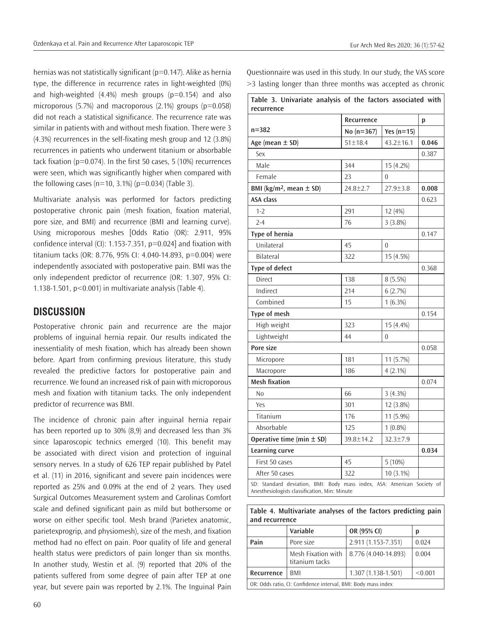hernias was not statistically significant (p=0.147). Alike as hernia type, the difference in recurrence rates in light-weighted (0%) and high-weighted  $(4.4\%)$  mesh groups  $(p=0.154)$  and also microporous  $(5.7%)$  and macroporous  $(2.1%)$  groups  $(p=0.058)$ did not reach a statistical significance. The recurrence rate was similar in patients with and without mesh fixation. There were 3 (4.3%) recurrences in the self-fixating mesh group and 12 (3.8%) recurrences in patients who underwent titanium or absorbable tack fixation (p=0.074). In the first 50 cases, 5 (10%) recurrences were seen, which was significantly higher when compared with the following cases ( $n=10$ , 3.1%) ( $p=0.034$ ) (Table 3).

Multivariate analysis was performed for factors predicting postoperative chronic pain (mesh fixation, fixation material, pore size, and BMI) and recurrence (BMI and learning curve). Using microporous meshes [Odds Ratio (OR): 2.911, 95% confidence interval (CI): 1.153-7.351, p=0.024] and fixation with titanium tacks (OR: 8.776, 95% CI: 4.040-14.893, p=0.004) were independently associated with postoperative pain. BMI was the only independent predictor of recurrence (OR: 1.307, 95% CI: 1.138-1.501, p<0.001) in multivariate analysis (Table 4).

# **DISCUSSION**

Postoperative chronic pain and recurrence are the major problems of inguinal hernia repair. Our results indicated the inessentiality of mesh fixation, which has already been shown before. Apart from confirming previous literature, this study revealed the predictive factors for postoperative pain and recurrence. We found an increased risk of pain with microporous mesh and fixation with titanium tacks. The only independent predictor of recurrence was BMI.

The incidence of chronic pain after inguinal hernia repair has been reported up to 30% (8,9) and decreased less than 3% since laparoscopic technics emerged (10). This benefit may be associated with direct vision and protection of inguinal sensory nerves. In a study of 626 TEP repair published by Patel et al. (11) in 2016, significant and severe pain incidences were reported as 25% and 0.09% at the end of 2 years. They used Surgical Outcomes Measurement system and Carolinas Comfort scale and defined significant pain as mild but bothersome or worse on either specific tool. Mesh brand (Parietex anatomic, parietexprogrip, and physiomesh), size of the mesh, and fixation method had no effect on pain. Poor quality of life and general health status were predictors of pain longer than six months. In another study, Westin et al. (9) reported that 20% of the patients suffered from some degree of pain after TEP at one year, but severe pain was reported by 2.1%. The Inguinal Pain

Questionnaire was used in this study. In our study, the VAS score >3 lasting longer than three months was accepted as chronic

| Table 3. Univariate analysis of the factors associated with<br>recurrence                                               |                |                 |       |  |
|-------------------------------------------------------------------------------------------------------------------------|----------------|-----------------|-------|--|
|                                                                                                                         | Recurrence     |                 | p     |  |
| $n = 382$                                                                                                               | No (n=367)     | Yes $(n=15)$    |       |  |
| Age (mean $\pm$ SD)                                                                                                     | 51±18.4        | $43.2 \pm 16.1$ | 0.046 |  |
| Sex                                                                                                                     |                |                 | 0.387 |  |
| Male                                                                                                                    | 344            | 15 (4.2%)       |       |  |
| Female                                                                                                                  | 23             | $\Omega$        |       |  |
| BMI ( $kg/m^2$ , mean $\pm$ SD)                                                                                         | $24.8 \pm 2.7$ | $27.9 \pm 3.8$  | 0.008 |  |
| <b>ASA class</b>                                                                                                        |                |                 | 0.623 |  |
| $1 - 2$                                                                                                                 | 291            | 12 (4%)         |       |  |
| $2 - 4$                                                                                                                 | 76             | 3(3.8%)         |       |  |
| Type of hernia                                                                                                          |                |                 | 0.147 |  |
| Unilateral                                                                                                              | 45             | 0               |       |  |
| <b>Bilateral</b>                                                                                                        | 322            | 15 (4.5%)       |       |  |
| <b>Type of defect</b>                                                                                                   |                |                 | 0.368 |  |
| Direct                                                                                                                  | 138            | 8 (5.5%)        |       |  |
| Indirect                                                                                                                | 214            | 6(2.7%)         |       |  |
| Combined                                                                                                                | 15             | $1(6.3\%)$      |       |  |
| Type of mesh                                                                                                            |                |                 | 0.154 |  |
| High weight                                                                                                             | 323            | 15 (4.4%)       |       |  |
| Lightweight                                                                                                             | 44             | $\theta$        |       |  |
| Pore size                                                                                                               |                |                 | 0.058 |  |
| Micropore                                                                                                               | 181            | 11 (5.7%)       |       |  |
| Macropore                                                                                                               | 186            | $4(2.1\%)$      |       |  |
| <b>Mesh fixation</b>                                                                                                    |                |                 | 0.074 |  |
| No                                                                                                                      | 66             | 3(4.3%)         |       |  |
| Yes                                                                                                                     | 301            | 12 (3.8%)       |       |  |
| Titanium                                                                                                                | 176            | 11 (5.9%)       |       |  |
| Absorbable                                                                                                              | 125            | $1(0.8\%)$      |       |  |
| Operative time (min $\pm$ SD)                                                                                           | 39.8±14.2      | 32.3±7.9        |       |  |
| <b>Learning curve</b>                                                                                                   |                |                 | 0.034 |  |
| First 50 cases                                                                                                          | 45             | $5(10\%)$       |       |  |
| After 50 cases                                                                                                          | 322            | $10(3.1\%)$     |       |  |
| SD: Standard deviation, BMI: Body mass index, ASA: American Society of<br>Anesthesiologists classification, Min: Minute |                |                 |       |  |

**Table 4. Multivariate analyses of the factors predicting pain and recurrence**

|                                                               | Variable                             | OR (95% CI)          | D       |  |  |
|---------------------------------------------------------------|--------------------------------------|----------------------|---------|--|--|
| Pain                                                          | Pore size                            | 2.911 (1.153-7.351)  | 0.024   |  |  |
|                                                               | Mesh Fixation with<br>titanium tacks | 8.776 (4.040-14.893) | 0.004   |  |  |
| Recurrence                                                    | BMI                                  | $1.307(1.138-1.501)$ | < 0.001 |  |  |
| OR: Odds ratio, CI: Confidence interval, BMI: Body mass index |                                      |                      |         |  |  |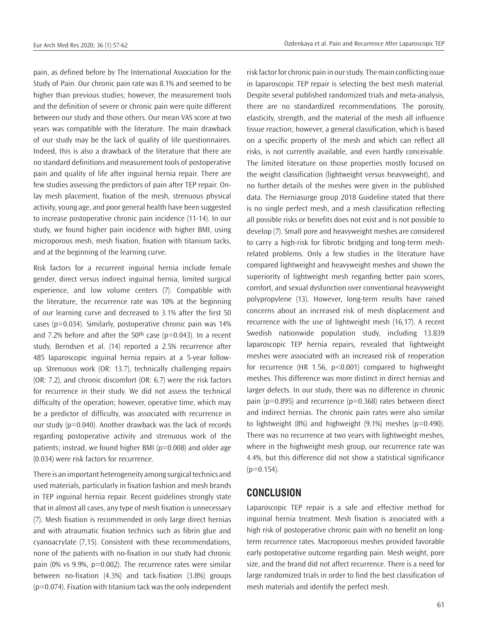pain, as defined before by The International Association for the Study of Pain. Our chronic pain rate was 8.1% and seemed to be higher than previous studies; however, the measurement tools and the definition of severe or chronic pain were quite different between our study and those others. Our mean VAS score at two years was compatible with the literature. The main drawback of our study may be the lack of quality of life questionnaires. Indeed, this is also a drawback of the literature that there are no standard definitions and measurement tools of postoperative pain and quality of life after inguinal hernia repair. There are few studies assessing the predictors of pain after TEP repair. Onlay mesh placement, fixation of the mesh, strenuous physical activity, young age, and poor general health have been suggested to increase postoperative chronic pain incidence (11-14). In our study, we found higher pain incidence with higher BMI, using microporous mesh, mesh fixation, fixation with titanium tacks, and at the beginning of the learning curve.

Risk factors for a recurrent inguinal hernia include female gender, direct versus indirect inguinal hernia, limited surgical experience, and low volume centers (7). Compatible with the literature, the recurrence rate was 10% at the beginning of our learning curve and decreased to 3.1% after the first 50 cases ( $p=0.034$ ). Similarly, postoperative chronic pain was  $14%$ and 7.2% before and after the 50<sup>th</sup> case ( $p=0.043$ ). In a recent study, Berndsen et al. (14) reported a 2.5% recurrence after 485 laparoscopic inguinal hernia repairs at a 5-year followup. Strenuous work (OR: 13.7), technically challenging repairs (OR: 7.2), and chronic discomfort (OR: 6.7) were the risk factors for recurrence in their study. We did not assess the technical difficulty of the operation; however, operative time, which may be a predictor of difficulty, was associated with recurrence in our study (p=0.040). Another drawback was the lack of records regarding postoperative activity and strenuous work of the patients; instead, we found higher BMI ( $p=0.008$ ) and older age (0.034) were risk factors for recurrence.

There is an important heterogeneity among surgical technics and used materials, particularly in fixation fashion and mesh brands in TEP inguinal hernia repair. Recent guidelines strongly state that in almost all cases, any type of mesh fixation is unnecessary (7). Mesh fixation is recommended in only large direct hernias and with atraumatic fixation technics such as fibrin glue and cyanoacrylate (7,15). Consistent with these recommendations, none of the patients with no-fixation in our study had chronic pain (0% vs 9.9%, p=0.002). The recurrence rates were similar between no-fixation (4.3%) and tack-fixation (3.8%) groups  $(p=0.074)$ . Fixation with titanium tack was the only independent

risk factor for chronic pain in our study. The main conflicting issue in laparoscopic TEP repair is selecting the best mesh material. Despite several published randomized trials and meta-analysis, there are no standardized recommendations. The porosity, elasticity, strength, and the material of the mesh all influence tissue reaction; however, a general classification, which is based on a specific property of the mesh and which can reflect all risks, is not currently available, and even hardly conceivable. The limited literature on those properties mostly focused on the weight classification (lightweight versus heavyweight), and no further details of the meshes were given in the published data. The Herniasurge group 2018 Guideline stated that there is no single perfect mesh, and a mesh classification reflecting all possible risks or benefits does not exist and is not possible to develop (7). Small pore and heavyweight meshes are considered to carry a high-risk for fibrotic bridging and long-term meshrelated problems. Only a few studies in the literature have compared lightweight and heavyweight meshes and shown the superiority of lightweight mesh regarding better pain scores, comfort, and sexual dysfunction over conventional heavyweight polypropylene (13). However, long-term results have raised concerns about an increased risk of mesh displacement and recurrence with the use of lightweight mesh (16,17). A recent Swedish nationwide population study, including 13.839 laparoscopic TEP hernia repairs, revealed that lightweight meshes were associated with an increased risk of reoperation for recurrence (HR 1.56, p<0.001) compared to highweight meshes. This difference was more distinct in direct hernias and larger defects. In our study, there was no difference in chronic pain ( $p=0.895$ ) and recurrence ( $p=0.368$ ) rates between direct and indirect hernias. The chronic pain rates were also similar to lightweight  $(8%)$  and highweight  $(9.1%)$  meshes  $(p=0.490)$ . There was no recurrence at two years with lightweight meshes, where in the highweight mesh group, our recurrence rate was 4.4%, but this difference did not show a statistical significance  $(p=0.154)$ .

# **CONCLUSION**

Laparoscopic TEP repair is a safe and effective method for inguinal hernia treatment. Mesh fixation is associated with a high risk of postoperative chronic pain with no benefit on longterm recurrence rates. Macroporous meshes provided favorable early postoperative outcome regarding pain. Mesh weight, pore size, and the brand did not affect recurrence. There is a need for large randomized trials in order to find the best classification of mesh materials and identify the perfect mesh.